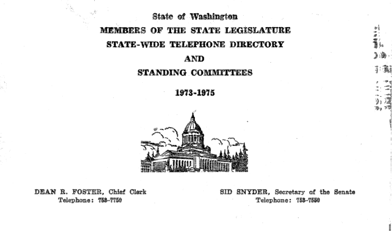State of Washington MEMBERS OF THE STATE LEGISLATURE STATE-WIDE TELEPHONE DIRECTORY AND

### STANDING COMMITTEES

1973-1975



DEAN R. FOSTER, Chief Clerk Telephone: 753-7750

SID SNYDER, Secretary of the Senate Telephone: 753-7559

•I ;: ~~ )l., i:~ , ··~

 $, 1, 2, 3, 4$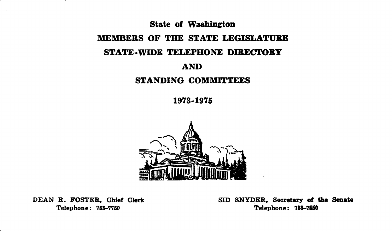# State of Washington MEMBERS OF THE STATE LEGISLATURE STATE-WIDE TELEPHONE DIRECTORY AND STANDING COMMITTEES

1973-1975



DEAN R. FOSTER, Chief Clerk Telephone: 753-7750

SID SNYDER, Secretary of the Senate Telephone: 753-7550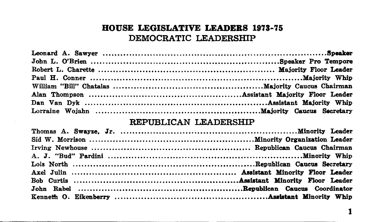# BOUSE LEGISLATIVE LEADERS 1973-75 DEMOCRATIC LEADERSHIP

#### REPUBLICAN LEADERSHIP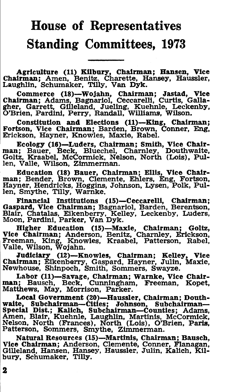# House of Representatives Standing Committees, 1973

Agriculture (11) Kilbury, Chairman; Hansen, Vice<br>Chairman; Amen, Benitz, Charette, Hansey, Haussler,<br>Laughlin, Schumaker, Tilly, Van Dyk.

Commerce (18)-Wojahn, Chairman; Jastad, VIce Chairman; Adams, Bagnariol, Ceccarelli, Curtis, Galla-gher, Garrett, Gilleland, Jueling, Kuehnle, Leckenby, O'Brien, Pardini, Perry, Randall, Williams, Wilson.

Constitution and Elections (11)-King, Chairman; Fortson, Vice Chairman; Barden, Brown, Conner, Eng, Erickson, Hayner, Knowles, Maxie, Rabel.

Ecology (16)-Luders, Chairman; Smith, Vice Chair- man; Bauer, Beck, Bluechel, Charnley, Douthwaite, Goltz, Kraabel, McCormick, Nelson, North (Lois), Pullen, Valle, Wilson, Zimmerman.

Education (18) Bauer, Chairman; Ellis, Vice Chair- man; Bender, Brown, Clemente, Ehlers, Eng, Fortson, Hayner, Hendricks, Haggins, Johnson, Lysen, Polk, Pullen, Smythe, Tilly, Warnke.

Financial Institutions (15)-Ceccarelli, Chairman; Gaspard, Vice Chairman; Bagnariol, Barden, Berentson, Blair, Chatalas, Eikenberry, Kelley, Leckenby, Luders, Moon, Pardini, Parker, Van Dyk.

Higher Education (15)-Maxie, Chairman; Goltz, Vice Chairman; Anderson, Benitz, Charnley, Erickson, Freeman, King, Knowles, Kraabel, Patterson, Rabel, Valle, Wilson, Wojahn.

Judiciary (12)-Knowles, Chairman; Kelley, Viee Chairman; Eikenberry, Gaspard, Hayner, Julin, Maxie, Newhouse, Shinpoeh, Smith, Sommers, Swayze.

Labor (11)-Savage, Chairman; Warnke, Vice Chairman; Bausch, Beck, Cunningham, Freeman, Kopet, Matthews, May, Morrison, Parker.

Local Government (20)-Haussler, Chairman; Douth-waite, Subchairman-Cities; Johnson, Subehalrman-Special Dist.; Kalich, Subchairman-Counties; Adams, Amen, Blair, Kuehnle, Laughlin, Martinis, McCormick, Nelson, North (Frances), North (Lois), O'Brien, Paris, Patterson, Sommers, Smythe, Zimmerman.

Natural Resources (15)-Martinis, Chairman; Bausch, Vice Chairman; Anderson, Clemente, Conner, Flanagan, Gilleland, Hansen, Hansey, Haussler, Julin, Kallch, Kilbury, Schumaker, Tilly.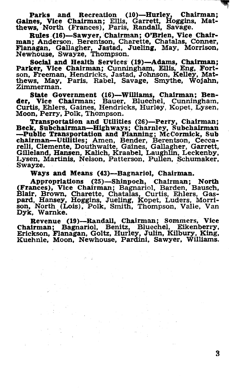Parks and Recreation (10)—Hurley, Chairman; Gaines, Vice Chairman; Ellis, Garrett, Hoggins, Matthews, North (Frances), Paris, Randall, Savage.

Rules-(16)-Sawyer, Chairman; O'Brien, Vice Chairman; Anderson, Berentson, Charette, Chatalas, Conner, Flanagan, Gallagher, Jastad, Jueling, May, Morrison, Newhouse, Swayze, Thompson.

Social and Health Services (19)-Adams, Chairman; Parker, Vice Chairman; Cunningham, Ellis, Eng, Fortson, Freeman, Hendricks, Jastad, Johnson, Kelley, Mat-<br>thews, May, Paris, Rabel, Savage, Smythe, Wojahn,<br>Zimmerman.

State Government (18)-Williams, Chairman; Bender, Vice Chairman; Bauer, Bluechel, Cunningham,<br>Curtis, Ehlers, Gaines, Hendricks, Hurley, Kopet, Lysen,<br>Moon, Perry, Polk, Thompson.<br>Transportation and Utilities (26)—Perry, Chairman;

Transportation and Utilities (26)--Perry, Chairman; Beck, Subchairman-Highways; Charnley, Subchairman<br>-Public Transportation and Planning; McCormick, Sub chairman-Utilities; Amen, Bender, Berentson, Cecca-<br>relli, Clemente, Douthwaite, Gaines, Gallagher, Garrett, relll, Clemente, Douthwaite, Gaines, Gallagher, Garrett, Gilleland, Hansen, Kallch, Kraabel, Laughlin; Leckenby, Lysen, Martinis, Nelson, Patterson, Pullen, Schumaker, Swayze. ·

Ways and Means (43)-Bagnariol, Chairman.

Appropriations (25)—Shinpoch, Chairman; North (Frances), Vice Chairman; Bagnariol, Barden, Bausch, Blair, Brown, Charette, Chatalas, Curtis, Enlers, Gas-pard, Hansey, Hoggins, Jueling, Kopet, Luders, Morrison, North (Lois) Dyk, Warnke.

Revenue (19)-Randall, Chairman; Sommers, VIce Chairman; Bagnariol, Benitz, Bluechel, Eikenberry, Erickson, Flanagan, Goltz, Hurley, Julin, Kilbury, King, Kuehnle, Moon, Newhouse, Pardini, Sawyer, Williams.

-~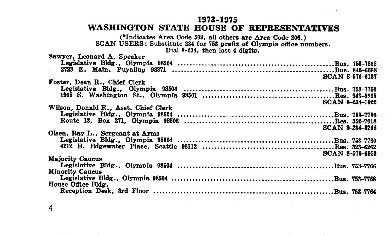#### 1973-1975

#### WASHINGTON STATE HOUSE OF **REPRESENTATIVES**

(\*Indicates Area Code 509, all others are Area Code 206.)<br>SCAN USERS: Substitute 234 for 763 prefix of Olympia office numbers.<br>All 1988 for Dial 8-234, then last 4 digits.

| Sawyer, Leonard A. Speaker           |                        |
|--------------------------------------|------------------------|
|                                      |                        |
|                                      |                        |
|                                      | <b>SCAN 8-576-6137</b> |
| Foster. Dean R., Chief Clerk         |                        |
|                                      |                        |
|                                      |                        |
|                                      |                        |
|                                      | SCAN 8-234-1922        |
| Wilson, Donald R., Asst. Chief Clerk |                        |
|                                      |                        |
|                                      |                        |
|                                      |                        |
|                                      | <b>SCAN 8-234-3268</b> |
| Olsen, Ray L., Sergeant at Arms      |                        |
|                                      |                        |
|                                      |                        |
|                                      | <b>SCAN 8-576-6958</b> |
|                                      |                        |
| <b>Majority Caucus</b>               |                        |
|                                      |                        |
| <b>Minority Caucus</b>               |                        |
|                                      |                        |
| House Office Bldg.                   |                        |
|                                      |                        |
|                                      |                        |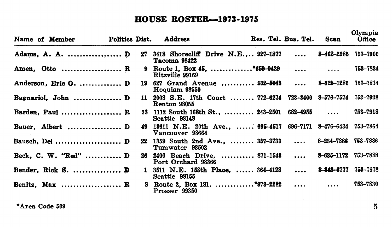# **BOUSE ROSTER-1973-1975**

| Name of Member       |     | Politics Dist. Address |                                                              | Res. Tel. Bus. Tel. | Scan                | Olympia<br>Office |
|----------------------|-----|------------------------|--------------------------------------------------------------|---------------------|---------------------|-------------------|
| Adams, A. A.  D      | 27  | Tacoma 98422           | 3418 Shorecliff Drive N.E 927-1877                           | $\cdots$            | 8–462–2985          | 753-7900          |
| Amen. Otto  R        |     | Ritzville 99169        | 9 Route 1. Box 45. *659-0429                                 |                     |                     | 753-7834          |
| Anderson, Eric O.  D |     | Hoquiam 98550          | 19 627 Grand Avenue  532-5043  8-325-1280                    |                     |                     | 753-7874          |
| Bagnariol, John  D   | 11. | Renton 98055           | 2008 S.E. 17th Court  772-6274 723-3400 8-576-7574           |                     |                     | 753-7938          |
| Barden, Paul $R$     |     | Seattle 98148          | 33 1112 South 168th St., , 243-2501 682-4955                 |                     |                     | 753-7918          |
| Bauer, Albert  D     | 49. | Vancouver 98664        | 13611 N.E. 20th Ave.,  695-4517 696-7171 8-476-6434 753-7864 |                     |                     |                   |
| Bausch, Del  D       |     | Tumwater 98502         | 22 1359 South 2nd Ave.,  357-3733                            |                     | 8–234–7886          | 753-7886          |
| Beck, C. W. "Red"  D | 26. | Port Orchard 98366     | 2400 Beach Drive,  871-1543                                  |                     | 8-685-1172 753-7888 |                   |
| Bender, Rick S.  D   | 1.  | Seattle 98155          | 3511 N.E. 158th Place.  364-4128                             | $\cdots$            | 8-848-6777          | 758-7978          |
| Benitz, Max  R       |     | Prosser 99350          | 8 Route 2. Box 181, *973-2282                                |                     | $\ldots$            | 753-7830          |

 $*$ Area Code 509  $\qquad \qquad \qquad$  5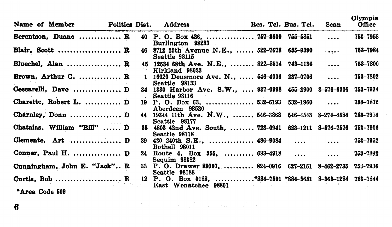| Name of Member               | Politics Dist. | Address                                                                          | Res. Tel. Bus. Tel. | Scan           | Olympia<br>Office |
|------------------------------|----------------|----------------------------------------------------------------------------------|---------------------|----------------|-------------------|
| Berentson, Duane  R          |                | 40 P.O. Box 426,  757-8600 755-5851<br>Burlington 98283                          |                     | $\overline{1}$ | 753-7958          |
| Blair, Scott $R$             |                | 46 8712 25th Avenue N.E., , 522-7678 655-9390<br>Seattle 98115                   |                     |                | 753-7984          |
| Bluechel, Alan  R            |                | 45 12534 68th Ave. N.E.,  822-8514 743-1136<br>Kirkland 98033                    |                     |                | 753-7800          |
| Brown, Arthur C.  R          |                | 1 16020 Densmore Ave. N.,  546-4006 237-0706<br>Seattle 98133                    |                     |                | 753-7802          |
| Ceccarelli, Dave  D          |                | 34 1330 Harbor Ave. S.W.,  937-0998 455-2900 8-576-6306<br>Seattle 98116         |                     |                | 753-7934          |
| Charette. Robert L.  D       |                | 19 P.O. Box 63.  532-6193 532-1960<br>Aberdeen 98520                             |                     | $\sim$         | 753-7872          |
| Charnley, Donn  D            |                | 44 19344 11th Ave. N.W.,  546-3868 546-4543 8-274-4584 753-7974<br>Seattle 98177 |                     |                |                   |
| Chatalas, William "Bill"  D  |                | 35 4803 42nd Ave. South.  723-0941 623-1211 8-576-7576<br>Seattle 98118          |                     |                | 753-7930          |
| Clemente, Art  D             |                | 39 420 240th S.E.,  486-9084<br><b>Bothell 98011</b>                             |                     |                | 753-7952          |
|                              |                | 24 Route 4, Box 355,  683-4918<br>Sequim 98382                                   |                     | $\cdots$       | 753-7892          |
| Cunningham, John E. "Jack" R |                | 33 P.O. Drawer 89307,  824-0916 627-2151 8-462-2735 753-7936<br>Seattle 98188    |                     |                |                   |
| Curtis, Bob  R               |                | 12 P. O. Box 0188. *884-7501 *884-5651 8-565-1284<br>East Wenatchee 98801        |                     |                | 753-7844          |
| "Area Code 509               |                |                                                                                  |                     |                |                   |

 $\mathcal{L}^{\mathcal{L}}_{\mathcal{L}}$  and the contribution of the contribution of the contribution of the contribution of the contribution of the contribution of the contribution of the contribution of the contribution of the contributi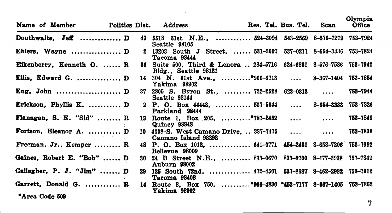|                | Name of Member Politics Dist. Address |    |                                                                                    | Res. Tel. Bus. Tel. Scan |            | Olympia<br>Office |
|----------------|---------------------------------------|----|------------------------------------------------------------------------------------|--------------------------|------------|-------------------|
|                | Douthwaite. Jeff  D                   |    | 43 5518 31st N.E.,  524-3094 543-2569 8-576-7279 753-7924<br>Seattle 98105         |                          |            |                   |
|                | Ehlers, Wayne  D                      |    | 2 13203 South J Street.  531-3007 537-0211 8-654-3336 753-7824<br>Tacoma 98444     |                          |            |                   |
|                | Eikenberry, Kenneth O.  R             |    | 36 Suite 500, Third & Lenora  284-5716 624-6831 8-576-7586<br>Bldg., Seattle 98121 |                          |            | 753-7942          |
|                | Ellis, Edward G. $D$                  |    | 14 304 N. 61st Ave., *966-6713  8-367-1404 753-7854<br>Yakima 98902                |                          |            |                   |
|                | Eng, John  D                          |    | 37 2805 S. Byron St.,  722-2528 628-0313<br>Seattle 98144                          |                          |            | 753-7944          |
|                | Erickson, Phyllis K. $D$              |    | 2 P. O. Box 44448,  537-5044<br>Parkland 98444                                     |                          | 8-654-3233 | 753-7826          |
|                | Flanagan, S. E. "Sid" $R$             |    | 13 Route 1, Box 205, *787-2452<br>Quincy 98848                                     |                          |            | 753-7848          |
|                | Fortson, Eleanor A.  D                |    | 10 4008-S. West Camano Drive.  387-7475<br>Camano Island 98292                     |                          |            | 753-7838          |
|                | Freeman, Jr., Kemper  R               |    | 48 P. O. Box 1012.  641-0771 454-2431 8-658-7206 753-7992<br>Bellevue 98009        |                          |            |                   |
|                | Gaines, Robert E. "Bob" , D           |    | 30 24 B Street N.E.,  833-0670 833-0700 8-477-3938<br>Auburn 98002                 |                          |            | 753-7842          |
|                | Gallagher, P. J. " $\text{Jim"}$ D    | 29 | 125 South 72nd.  472-4501 537-8687 8-462-2982 753-7912<br>Tacoma 98408             |                          |            |                   |
|                | Garrett, Donald G.  R                 |    | 14 Route 8. Box 750. *966-4836 *453-7177 8-867-1405 753-7852<br>Yakima 98902       |                          |            |                   |
| "Area Code 509 |                                       |    |                                                                                    |                          |            |                   |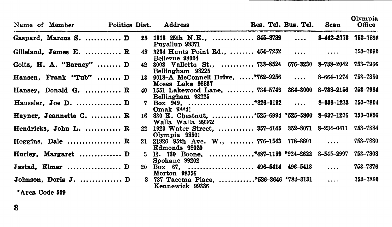| Name of Member |                           | Politics Dist. |    | Address                                                                           | Res. Tel. Bus. Tel. Scan |              | Ulympia<br>Office |
|----------------|---------------------------|----------------|----|-----------------------------------------------------------------------------------|--------------------------|--------------|-------------------|
|                | Gaspard, Marcus S.  D     |                |    | 25 1313 25th N.E.,  845-8789  8-462-2773<br>Puyallup 98871                        |                          |              | 753–7896          |
|                | Gilleland. James E.  R    |                |    | 48 3234 Hunts Point Rd.,  454-7252<br>Bellevue 98004                              |                          |              | 753-7990          |
|                | Goltz, H. A. "Barney" $D$ |                |    | 42 3003 Vallette St.,  733-8524 676-3230 8-738-2042 753-7966<br>Bellingham 98225  |                          |              |                   |
|                | Hansen, Frank "Tub"  D    |                |    | 13 9018-A McConnell Drive,  *762-9256  8-664-1274 753-7850<br>Moses Lake 98837    |                          |              |                   |
|                | Hansey, Donald G.  R      |                |    | 40 1551 Lakewood Lane,  734-5746 384-3000 8-738-2156 753-7964<br>Bellingham 98225 |                          |              |                   |
|                | Haussler. Joe D.  D       |                | 7. | <b>Omak</b> 98841                                                                 |                          |              |                   |
|                | Hayner. Jeannette C.  R   |                |    | 16 830 E. Chestnut. *525-6994 *525-5800 8-637-1276 753-7856<br>Walla Walla 99362  |                          |              |                   |
|                | Hendricks, John L.  R     |                |    | 22 1923 Water Street,  357-4145 352-8071 8-234-0411<br>Olympia 98501              |                          |              | 753-7884          |
|                | Hoggins. Dale $R$         |                |    | 21 21826 95th Ave. W.,  776-1543 778-8801<br>Edmonds 98020                        |                          | $\cdots$     | 753-7880          |
|                | Hurley, Margaret  D       |                |    | 3 E. 730 Boone, *487-1159 *924-2622 8-545-2997<br>Spokane 99202                   |                          |              | 753-7808          |
|                | Jastad, Elmer  D          |                |    | 20 Box 67,  496-5414 496-5418<br>Morton 98356                                     |                          | $\mathbf{1}$ | 753-7876          |
|                | Johnson, Doris J.  D      |                |    | 8 737 Tacoma Place, *586-3646 *783-3131<br>Kennewick 99336                        |                          | $\ldots$     | 753-7860          |
| *Area Code 509 |                           |                |    |                                                                                   |                          |              |                   |

Olympia and the control

8

and the property of the control of  $-$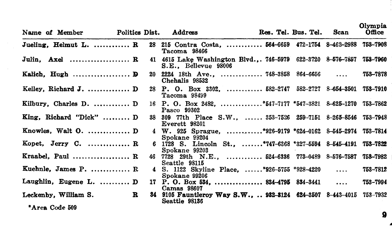| Name of Member                      | Politics Dist. | Address              |                                                                       | Res. Tel. Bus. Tel. Scan |              | .<br>Office |
|-------------------------------------|----------------|----------------------|-----------------------------------------------------------------------|--------------------------|--------------|-------------|
| Jueling. Helmut L.  R               |                | Tacoma 98466         | 28 215 Contra Costa,  564-6659 472-1754 8-462-2988 753-7908           |                          |              |             |
| Julin. Axel  R                      |                | S.E., Bellevue 98006 | 41 4615 Lake Washington Blvd.,. 746-5979 622-3720 8-576-7857 753-7960 |                          |              |             |
| Kalich, Hugh $\mathbf{D}$           |                | Chehalis 98532       | 20 2224 18th Ave.,  748-3858 864-6656                                 |                          |              | 753-7878    |
| Kelley, Richard J.  D               |                | Tacoma 98499         | 28 P. O. Box 3302.  582-2747 582-2727 8-654-3501 753-7910             |                          |              |             |
| Kilbury, Charles D. $D$             |                | Pasco 99302          | 16 P. O. Box 2482, *547-7177 *547-3821 8-625-1270 753-7862            |                          |              |             |
| $King.$ Richard "Dick"  D           |                | Everett 98201        | 38 309 77th Place S.W.,  353-7526 259-7151 8-265-8546 753-7948        |                          |              |             |
| Knowles, Walt $0.$ D                |                | Spokane 99204        | 4 W. 925 Sprague. *926-9179 *624-0162 8-545-2974 753-7814             |                          |              |             |
| Kopet, Jerry C. $\dots\dots\dots R$ |                | Spokane 99203        | 6 1728 S. Lincoln St., *747-6368 *327-5594 8-545-4191 753-7822        |                          |              |             |
| Kraabel, Paul $R$                   |                | Seattle 98115        | 46 7728 29th N.E.,  524-6336 773-0489 8-576-7587                      |                          |              | 758-7982    |
| Kuehnle. James P.  R                |                | Spokane 99206        | 4 S. 1122 Skyline Place. *926-5755 *928-4220                          |                          | $\mathbf{r}$ | 753-7812    |
| Laughlin, Eugene L. D               |                | Camas 98607          | 17 P.O. Box 534,  834-4795 834-3441                                   |                          |              | 753-7994    |
| Leckenby, William S.                | R              | Seattle 98136        | 34 9105 Fauntleroy Way S.W.,  932-3124 624-3507 8-443-4015 753-7932   |                          |              |             |
| *Area Code 509                      |                |                      |                                                                       |                          |              |             |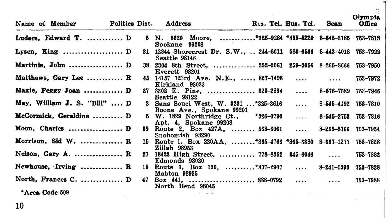| Name of Member                       |  | Politics Dist. Address    |                                                                     | Res. Tel. Bus. Tel. Scan |                     | Office   |
|--------------------------------------|--|---------------------------|---------------------------------------------------------------------|--------------------------|---------------------|----------|
| Luders. Edward T.  D                 |  | Spokane 99208             | 5 N. 5620 Moore. *325-9234 *455-5220 8-545-3185 753-7818            |                          |                     |          |
| Lysen. King $D$                      |  | Seattle 98146             | 31 12844 Shorecrest Dr. S.W . 244-6611 583-6566 8-443-4018 753-7922 |                          |                     |          |
| Martinis. John $D$                   |  | Everett 98201             | 38 2304 8th Street.  252-2061 259-3056 8-265-8666 753-7950          |                          |                     |          |
| Matthews, Gary Lee  R                |  | Kirkland 98033            | 45 14157 123rd Ave. N.E., , 827-7498                                |                          |                     | 753-7972 |
| Maxie, Peggy Joan  D                 |  | Seattle 98122             | 87 3302 E. Pine.  823-2894                                          |                          | 8-576-7589 753-7946 |          |
| May, William J. S. "Bill" $D$        |  | Boone Ave., Spokane 99201 | 3 Sans Souci West, W. 3231 *325-3616                                | $\cdots$                 | 8-545-4192 753-7810 |          |
| McCormick. Geraldine  D              |  | Apt. 4, Spokane 99208     | 5 W. 1829 Northridge Ct., *326-0790                                 | $\cdots$                 | 8-545-2753 753-7816 |          |
| Moon, Charles  D                     |  | Snohomish 98290           | 39 Route 2, Box 427A,  568-6061                                     |                          | 8-265-5766 753-7954 |          |
| Morrison. Sid $W$ .  R               |  | Zillah 98953              | 15 Route 1, Box 220AA. *865-4766 *865-3380 8-867-1277               |                          |                     | 753-7858 |
| Nelson. Gary A. $R$                  |  | Edmonds 98020             | 21 18423 High Street,  778-8362 345-6046                            |                          |                     | 753-7882 |
| Newhouse, Irving $\ldots, \ldots, R$ |  | Mabton 98935              | 15 Route 1, Box 130, ,,*837-2907  8-241-1390                        |                          |                     | 753-7828 |
| North, Frances C.  D                 |  | North Bend 98045          |                                                                     |                          |                     | 753-7988 |
| *Area Code 509                       |  | and such add.             |                                                                     |                          |                     |          |

 $\Omega$ <sub>mp</sub>

...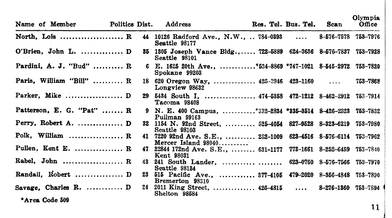| Name of Member                            | Politics Dist. | Address                                                                                 | Res. Tel. Bus. Tel. Scan | --------<br>Office |
|-------------------------------------------|----------------|-----------------------------------------------------------------------------------------|--------------------------|--------------------|
| North, Lois $R$                           |                | 44 10126 Radford Ave., N.W., ., 784-0393 , 8-576-7578 753-7976<br>Seattle 98177         |                          |                    |
| O'Brien, John L.  D                       |                | 35 1305 Joseph Vance Bldg., 722-5889 624-3636 8-576-7837 753-7928<br>Seattle 98101      |                          |                    |
| Pardini, A. J. "Bud"  R                   |                | 6 E. 1625 20th Ave *534-8869 *747-1021 8-545-2972 753-7820<br>Spokane 99203             |                          |                    |
| Paris, William "Bill" $R$                 |                | 18 620 Oregon Way, $425-3946$ 423-1160<br>Longview 98632                                |                          | 753-7868           |
|                                           |                | 29 5434 South I.  474-5358 472-1212 8-462-2912 753-7914<br>Tacoma 98408                 |                          |                    |
| Patterson, E. G. "Pat"  R                 |                | 9 N. E. 400 Campus. *332-2834 *335-3514 8-426-2323 753-7832<br>Pullman 99163            |                          |                    |
| Perry, Robert A.  D                       |                | 32 1154 N. 92nd Street,  525-4054 827-9528 8-323-6219 753-7980<br>Seattle 98103         |                          |                    |
| Polk. William $\ldots, \ldots, \ldots, R$ |                | 41 7220 92nd Ave. S.E.,  232-1009 623-4516 8-576-6114 753-7962<br>Mercer Island $98040$ |                          |                    |
| Pullen, Kent E.  R                        |                | 47 22844 172nd Ave. S.E.,  631-1177 773-1661 8-252-6459 753-7840<br><b>Kent 98031</b>   |                          |                    |
|                                           |                | 43 241 South Lander,  623-0760 8-576-7566<br>Seattle 98134                              |                          | 753-7970           |
| Randall, Robert  D                        |                | 23 515 Pacific Ave.,  377-4105 479-2020 8-356-4848 753-7890<br>Bremerton 98310          |                          |                    |
| Savage, Charles R.  D                     |                | 24 2011 King Street,  426-4815  8-276-1360 753-7894<br>Shelton 98584                    |                          |                    |
| *Area Code 509                            |                |                                                                                         |                          |                    |

Olympia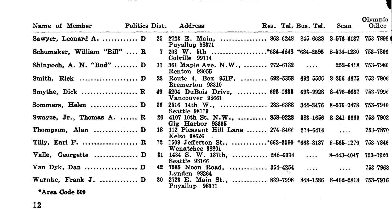| Name of Member |                                                  |     | Politics Dist. Address                                                            |  | Res. Tel. Bus. Tel. Scan |            | Olympia<br>Office |
|----------------|--------------------------------------------------|-----|-----------------------------------------------------------------------------------|--|--------------------------|------------|-------------------|
|                | Sawyer, Leonard A. $D$                           |     | 25 2723 E. Main.  863-6248 845-6688 8-576-6137 753-7898 1<br>Puyallup 98371       |  |                          |            |                   |
|                | Schumaker, William "Bill"  R                     |     | 7 208 W. 5th *684-4848 *684-2595 8-574-1230 753-7806<br>Colville 99114            |  |                          |            |                   |
|                | Shinpoch, A. N. "Bud" $D$                        | 11. | 361 Maple Ave. N.W.,  772-6132  252-6418 753-7986<br>Renton 98055                 |  |                          |            |                   |
|                |                                                  | 23  | Route 4, Box 951F, , 692-5358 692-5566 8-356-4675 753-7906<br>Bremerton 98310     |  |                          |            |                   |
|                | Smythe. Dick $\ldots, \ldots, \ldots, \ldots, R$ |     | 49 5204 DuBois Drive.  693-1633 693-9928 8-476-6667 753-7996<br>Vancouver 98661   |  |                          |            |                   |
|                | Sommers. Helen $\dots\dots\dots\dots\dots$ . D   |     | 36 2516 14th W.,  283-6388 344-3476 8-576-7478 753-7940<br>Seattle 98119          |  |                          |            |                   |
|                | Swayze, Jr., Thomas A.  R                        |     | 26 4107 10th St. N.W.,  858-9228 383-1656 8-241-3660<br>Gig Harbor 98335          |  |                          |            | 753–7902          |
|                | Thompson, Alan $D$                               |     | 18 112 Pleasant Hill Lane  274-8466 274-6414<br>Kelso 98626                       |  |                          |            | 753-7870          |
|                | Tilly, Earl F.  R                                |     | 12 1509 Jefferson St., *663-3390 *663-8187 8-565-1270 753-7846<br>Wenatchee 98801 |  |                          |            |                   |
|                | Valle, Georgette  D                              |     | 31 1434 S. W. 137th.  248-0334<br>Seattle 98166                                   |  |                          | 8-443-4047 | 753–7920          |
|                |                                                  | 42  | 7585 Noon Road,  354-4254<br>Lynden 98264                                         |  |                          | $\cdots$   | 753-7968          |
|                | Warnke, Frank J.  D                              |     | 30 2723 E. Main St.,  839-7998 348-1586 8-462-2818 753-7916<br>Puyallup 98371     |  |                          |            |                   |
| *Area Code 509 |                                                  |     |                                                                                   |  |                          |            |                   |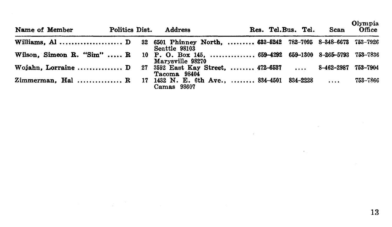Olympia

| Name of Member                                                                      | Politics Dist. | Address          | Res. Tel.Bus. Tel. | Scan     | Office   |
|-------------------------------------------------------------------------------------|----------------|------------------|--------------------|----------|----------|
| Williams, Al D 32 6501 Phinney North.  633-5242 782-7095 8-348-6673 753-7926        |                | Seattle 98103    |                    |          |          |
| Wilson, Simeon R. "Sim"  R 10 P. O. Box 145,  659-4292 659-1300 8-265-5793 753-7836 |                | Marysville 98270 |                    |          |          |
| Wojahn, Lorraine  D 27 3592 East Kay Street.  472-6537  8-462-2987                  |                | Tacoma 98404     |                    |          | 753–7904 |
| Zimmerman. Hal  R 17 1432 N. E. 6th Ave  834-4501 834-2228                          |                | Camas 98607      |                    | $\cdots$ | 753–7866 |

and the company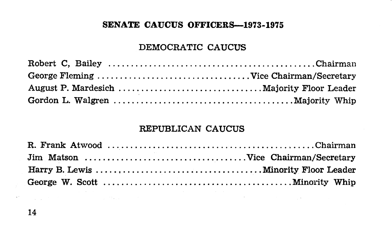## SENATE CAUCUS OFFICERS-1973-1975

### DEMOCRATIC CAUCUS

## REPUBLICAN CAUCUS

the company of the company of the main state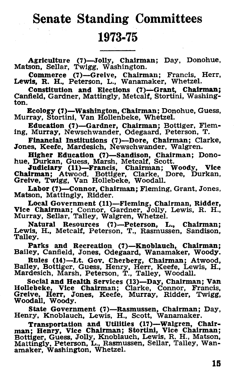# Senate Standing Committees 1973-75

Agriculture (7)-Jolly, Chairman; Day, Donohue, Matson, Sellar, Twigg, Washington.

Commerce (7)-Greive, Chairman; Francis, Herr, Lewis, R. H., Peterson, L., Wanamaker, Whetzel.

Constitution and Elections (7)-Grant, Chairman; Canfield, Gardner, Mattingly, Metcalf, Stortini, Washing-<br>ton.

Ecology (7)-Washlngton, Chairman; Donohue, Guess, Murray, Stort!n!, Van Hollenbeke, Whetzel.

Education (1)-Gardner, Chairman; Bottiger, Fleming, Murray, Newschwander, Odegaard, Peterson, T.

Financial Institutions (7)-Dore, Chairman; Clarke, Jones, Keefe, Mardesich, Newschwander, Walgren.

Higher Education (7)—Sandison, Chairman; Dono-hue, Durkan, Guess, Marsh, Metcalf, Scott.<br>Judiciary (11)—Francis, Chairman; Woody, Vice<br>Chairman; Atwood. Bottiger, Clarke, Dore, Durkan,<br>Greive, Twigg, Van Hollebeke, Woodall

Labor (7)-Connor, Chairman; Fleming, Grant, Jones. Matson, Mattingly, Ridder.

Local Government (11)-Fleming, Chairman, Ridder, Vice Chairman; Connor, Gardner, Jolly, Lewis, R. H., Murray, Sellar, Talley, Walgren, Whetzel.

Natural Resources (7)-Peterson, L., Chairman; Lewis, H., Metcalf, Peterson, T., Rasmussen, Sandison, Talley.

Parks and Recreation (7)-Knoblauch, Chairman; Bailey, Canfield, Jones, Odegaard, Wanamaker, Woody.

Rules (14)-Lt. Gov. Cherberg, Chairman; Atwood, Bailey, Bottiger, Guess, Henry, Herr, Keefe, Lewis, H., Mardesich, Marsh, Peterson, T., Talley, Woodall.

Social and Health Services (13)-Day, Chairman; Van Hollebeke, Vice Chairman; Clarke, Connor, Francis, Greive, Herr, Jones, Keefe, Murray, Ridder, Twigg, Woodall, Woody.

State Government (7)-Rasmussen, Chairman; Day, Henry, Knoblauch, Lewis, H., Scott, Wanamaker.

Transportation and Utilities (17)—Walgren, Chair-<br>man; Henry, Vice Chairman; Stortini, Vice Chairman;<br>Bottiger, Guess, Jolly, Knoblauch, Lewis, R. H., Matson, Mattingly, Peterson, L., Rasmussen, Sellar, Talley, Wan-amaker, Washington, Whetzel.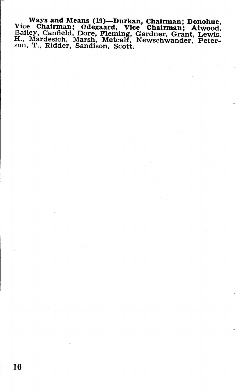Ways and Means (19)-Durkan, Chairman; Donohue, Vice Chairman; Odegaard, Vice Chairman; Atwood, Bailey, Canfield, Dore, Fleming, Gardner, Grant, Lewis, H., Mardeslch, Marsh, Metcalf, Newschwander, Peter- son, T., Ridder, Sandison, Scott.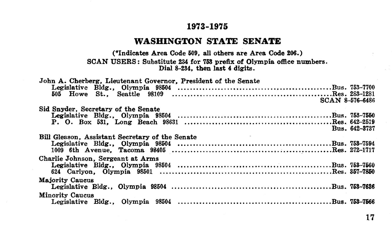#### **1973-1975**

#### **WASHINGTON STATE SENATE**

(\*Indicates Area Code 609, all others are Area Code 206.) SCAN USERS: Substitute 234 for 753 prefix of Olympia office numbers.<br>Dial 8-234, then last 4 digits.

| John A. Cherberg, Lieutenant Governor, President of the Senate |  |
|----------------------------------------------------------------|--|
|                                                                |  |
| SCAN 8-576-6486                                                |  |
| Sid Snyder, Secretary of the Senate                            |  |
|                                                                |  |
|                                                                |  |
| Bus. 642-3737                                                  |  |
| Bill Gleason. Assistant Secretary of the Senate                |  |
|                                                                |  |
|                                                                |  |
| Charlie Johnson. Sergeant at Arms                              |  |
|                                                                |  |
|                                                                |  |
| Majority Caucus                                                |  |
|                                                                |  |
| <b>Minority Caucus</b>                                         |  |
|                                                                |  |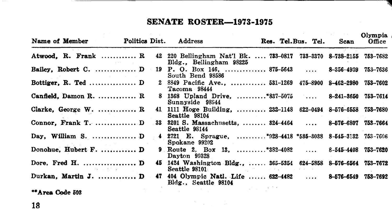# SENATE **ROSTER-1973-1975**

| Name of Member                                |     | <b>Politics Dist.</b> Address                                                                 | Res. Tel.Bus. Tel. Scan | Olympia<br>Office |
|-----------------------------------------------|-----|-----------------------------------------------------------------------------------------------|-------------------------|-------------------|
| Atwood, R. Frank  R                           |     | 42 220 Bellingham Nat'l Bk.  733-0817 733-3370 8-738-2155 753-7682<br>Bldg., Bellingham 98225 |                         |                   |
| Bailey, Robert C.  D                          |     | 19 P. O. Box 146,  875-5643  8-356-4939 753-7636<br>South Bend 98586                          |                         |                   |
| Bottiger, $R.$ Ted $D$                        |     | 2 8849 Pacific Ave.,  531-1269 475-8900 8-462-2980<br>Tacoma 98444                            |                         | 753-7602          |
| Canfield, Damon R.  R.                        |     | 8 1368 Upland Drive. *837-5075  8-241-3650<br>Sunnyside 98944                                 |                         | 753-7614          |
| Clarke, George W.  R                          |     | 41 1111 Hoge Building,  232-1148 622-0494 8-576-6558 753-7680<br>Seattle 98104                |                         |                   |
| Connor, Frank T.  D                           |     | 33 3201 S. Massachusetts.  324-4464  8-576-6807 753-7664<br>Seattle 98144                     |                         |                   |
| Day, William S. $D$                           |     | 4 2721 E. Sprague, *928-4418 *535-3038 8-545-3132 753-7606<br>Spokane 99202                   |                         |                   |
| Donohue. Hubert F.  D                         |     | 9 Route 2. Box 13. *382-4082  8-545-4408 753-7620<br>Dayton 99328                             |                         |                   |
| Dore, Fred H. $D$<br>construction of the pro- |     | 45 1424 Washington Bldg 365-5354 624-5858 8-576-6564 753-7672<br>Seattle 98101                |                         |                   |
| Durkan, Martin J.  D                          | 47. | 404 Olympic Natl. Life  622-4482  8-576-6549 753-7692<br>Bldg., Seattle 98104                 |                         |                   |
|                                               |     |                                                                                               |                         |                   |

**\*\*Area** Code 503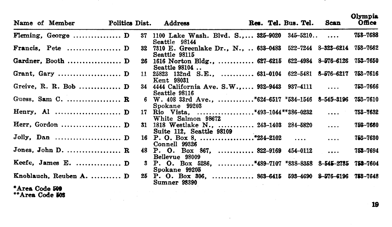|                | Name of Member          | Politics Dist. | Address                                                                               |  | Res. Tel. Bus. Tel. Scan |              | <br>Office |
|----------------|-------------------------|----------------|---------------------------------------------------------------------------------------|--|--------------------------|--------------|------------|
|                |                         |                | 37 1100 Lake Wash. Blvd. S 325-9020 345-5210<br>Seattle 98144                         |  |                          |              | 758-7688   |
|                |                         |                | 32 7310 E. Greenlake Dr., N.,  633-0483 522-7244 8-323-6214 753-7662<br>Seattle 98115 |  |                          |              |            |
|                | Gardner, Booth  D       |                | 26 1616 Norton Bldg.,  627-6215 622-4984 8-576-6126<br>Seattle 98104                  |  |                          |              | 753-7650   |
|                |                         |                | 11 25823 132nd S.E.,  631-0104 622-5481 8-576-6217<br><b>Kent 98031</b>               |  |                          |              | 753-7616   |
|                |                         |                | 34 4444 California Ave. S.W 932-9443 937-4111<br>Seattle 98116                        |  |                          |              | 753-7666   |
|                | Guess. Sam C.  R        |                | 6 W. 408 33rd Ave., *624-6517 *534-1546 8-545-3196 753-7610<br>Spokane 99203          |  |                          |              |            |
|                |                         |                | 17 Rio Vista, *493-1044**386-0232<br>White Salmon 98672                               |  |                          | $\mathbf{1}$ | 753-7632   |
|                |                         |                | 31 1818 Westlake N.,  243-1403 284-5820<br>Suite 112, Seattle 98109                   |  |                          | $\cdots$     | 753-7660   |
|                | Jolly, Dan  D           |                | Connell 99326                                                                         |  |                          | $\cdots$     | 753-7630   |
|                | Jones, John D.  R       |                | 48 P. O. Box 867,  822-9169 454-0112<br>Bellevue 98009                                |  |                          | $\cdots$     | 753-7694   |
|                |                         |                | 3 P. O. Box 5286, *489-7107 *838-8358 8-545-2785 753-7604<br>Spokane 99205            |  |                          |              |            |
|                | Knoblauch. Reuben A.  D |                | 25 P. O. Box 306,  863-6415 593-4690 8-576-6196 753-7648<br>Sumner 98390              |  |                          |              |            |
| *Area Code 500 |                         |                |                                                                                       |  |                          |              |            |

and a state of

**\*Area** Code **liOt**  \*\*Area Code **lOS** 

**19** 

Olympia.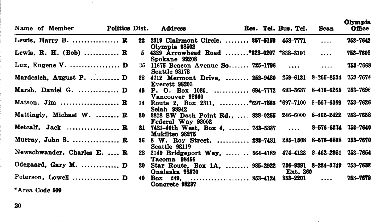|                                        | Name of Member Politics Dist. Address |    |                                                                                        |  | Res. Tel. Bus. Tel. | Scan     | Viympia<br>Office |
|----------------------------------------|---------------------------------------|----|----------------------------------------------------------------------------------------|--|---------------------|----------|-------------------|
|                                        | Lewis, Harry B. $R$                   | 22 | 2019 Clairmont Circle,  357-5159 458-7771<br>Olympia 98502                             |  |                     | $\cdots$ | 753-7642          |
|                                        | Lewis, R. H. (Bob)  R                 |    | 5 4329 Arrowhead Road *328-0207 *838-3101<br>Spokane 99208                             |  |                     | $\cdots$ | 753-7608          |
|                                        |                                       |    | 35 11675 Beacon Avenue So 725-1796<br>Seattle 98178                                    |  |                     | $\cdots$ | 753-7668          |
|                                        | Mardesich, August P.  D               |    | 38 4712 Mermont Drive,  252-9480 259-6131 8-265-8534<br>Everett 98203                  |  |                     |          | 753 - 7674        |
|                                        | Marsh, Daniel G.  D                   |    | 49 P. O. Box 1086,  694-7772 693-3637 8-476-6265<br>Vancouver 98660                    |  |                     |          | 753-7696          |
|                                        | Matson. Jim $\mathbb{R}$              |    | 14 Route 2. Box 2311. *697-7533 *697-7100 8-567-6369<br><b>Selah 98942</b>             |  |                     |          | 753-7626          |
|                                        | Mattingly, Michael W.  R              |    | 30 3818 SW Dash Point Rd.,  838-0255 246-6000 8-462-2422 753-7658<br>Federal Way 98002 |  |                     |          |                   |
|                                        | Metcalf, Jack  R                      |    | 21 7421-46th West, Box 4,  743-5337  8-576-6374 753-7640<br>Mukilteo 98275             |  |                     |          |                   |
|                                        | Murray, John S.  R                    |    | 36 8 W. Roy Street.  282-7481 285-1508 8-576-6808<br>Seattle 98119                     |  |                     |          | 753-7670          |
|                                        | Newschwander, Charles E.  R           |    | 28 2140 Bridgeport Way,  564-4189 474-4128 8-462-2981<br>Tacoma 98466                  |  |                     |          | 753-7654          |
|                                        | Odegaard, Gary M.  D                  | 20 | Star Route, Box 1A,  985-2922 786-9391 8-234-3749<br>Onalaska 98570                    |  | Ext. 260            |          | 753-7638          |
|                                        | Peterson, Lowell $D$                  |    | 40 Box 249,  853-4124 853-2201<br>Concrete 98287                                       |  |                     | $\cdots$ | 753-7678          |
| $\mathbf{x} = \mathbf{y} - \mathbf{y}$ |                                       |    |                                                                                        |  |                     |          |                   |

 $O$ 

\*Area Code 609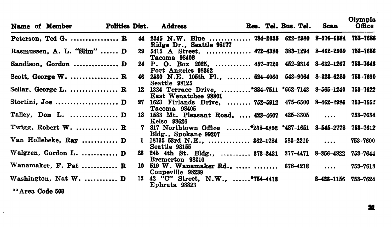| Name of Member             |  | Politics Dist. Address |                                                                                      |  | Res. Tel. Bus. Tel. Scan | ______<br>Office |
|----------------------------|--|------------------------|--------------------------------------------------------------------------------------|--|--------------------------|------------------|
| Peterson, Ted G.  R        |  |                        | 44 2345 N.W. Blue  784-2035 622-2980 8-576-6584 753-7686<br>Ridge Dr., Seattle 98177 |  |                          |                  |
| Rasmussen. A. L. "Slim"  D |  | Tacoma 98408           | 29 5415 A Street,  472-4380 383-1294 8-462-2939 753-7656                             |  |                          |                  |
| Sandison, Gordon  D        |  | Port Angeles 98362     | 24 P. O. Box 2025,  457-3720 452-2314 8-632-1267 753-7646                            |  |                          |                  |
| Scott, George $W$ .  R     |  | Seattle 98125          | 46 2530 N.E. 105th Pl.,  524-4060 543-9064 8-323-6280 753-7690                       |  |                          |                  |
| Sellar, George L.  R       |  | East Wenatchee 98801   | 12 1324 Terrace Drive, *884-7511 *662-7143 8-565-1240 753-7622                       |  |                          |                  |
|                            |  | Tacoma 98405           | 27 1623 Firlands Drive,  752-5912 475-6500 8-462-2986 753-7652                       |  |                          |                  |
|                            |  | Kelso 98626            | 18 1583 Mt. Pleasant Road.  423-4607 425-3305                                        |  |                          | 753-7634         |
| Twigg, Robert W. $R$       |  | Bldg., Spokane 99207   | 7 817 Northtown Office *238-6892 *487-1651 8-545-2778 753-7612                       |  |                          |                  |
| Van Hollebeke, Ray  D      |  | Seattle 98155          | 1 18735 53rd N.E., $362-1784$ 583-2210                                               |  |                          | 753-7600         |
| Walgren, Gordon L.  D      |  | Bremerton 98310        | 23 245 4th St. Bldg.,  373-3431 377-4471 8-356-4822 753-7644                         |  |                          |                  |
| Wanamaker, $F.$ Pat $R$    |  | Coupeville 98239       | 10 519 W. Wanamaker Rd.,   678-4218                                                  |  |                          | 753-7618         |
| Washington, Nat $W$ . $D$  |  | Ephrata 98823          | 13 42 "C" Street, N.W.,  *754-4413 8-423-1156 753-7624                               |  |                          |                  |
| **Area Code 508            |  |                        |                                                                                      |  |                          |                  |

Olympia

•